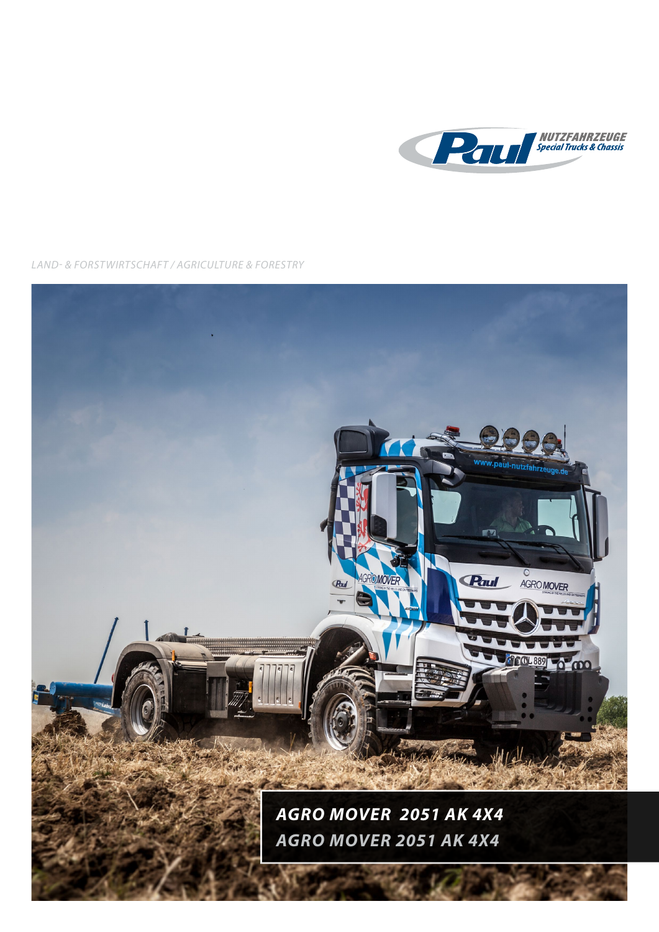

*LAND- & FORSTWIRTSCHAFT / AGRICULTURE & FORESTRY*